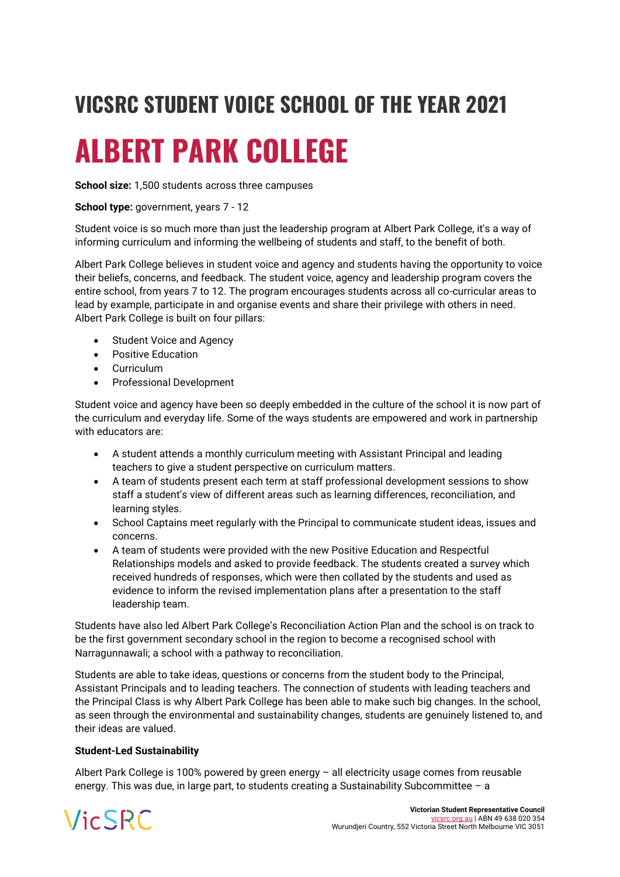## **VICSRC STUDENT VOICE SCHOOL OF THE YEAR 2021**

# **ALBERT PARK COLLEGE**

**School size:** 1,500 students across three campuses

### **School type:** government, years 7 - 12

Student voice is so much more than just the leadership program at Albert Park College, it's a way of informing curriculum and informing the wellbeing of students and staff, to the benefit of both.

Albert Park College believes in student voice and agency and students having the opportunity to voice their beliefs, concerns, and feedback. The student voice, agency and leadership program covers the entire school, from years 7 to 12. The program encourages students across all co-curricular areas to lead by example, participate in and organise events and share their privilege with others in need. Albert Park College is built on four pillars:

- Student Voice and Agency
- Positive Education
- Curriculum
- Professional Development

Student voice and agency have been so deeply embedded in the culture of the school it is now part of the curriculum and everyday life. Some of the ways students are empowered and work in partnership with educators are:

- A student attends a monthly curriculum meeting with Assistant Principal and leading teachers to give a student perspective on curriculum matters.
- A team of students present each term at staff professional development sessions to show staff a student's view of different areas such as learning differences, reconciliation, and learning styles.
- School Captains meet regularly with the Principal to communicate student ideas, issues and concerns.
- A team of students were provided with the new Positive Education and Respectful Relationships models and asked to provide feedback. The students created a survey which received hundreds of responses, which were then collated by the students and used as evidence to inform the revised implementation plans after a presentation to the staff leadership team.

Students have also led Albert Park College's Reconciliation Action Plan and the school is on track to be the first government secondary school in the region to become a recognised school with Narragunnawali; a school with a pathway to reconciliation.

Students are able to take ideas, questions or concerns from the student body to the Principal, Assistant Principals and to leading teachers. The connection of students with leading teachers and the Principal Class is why Albert Park College has been able to make such big changes. In the school, as seen through the environmental and sustainability changes, students are genuinely listened to, and their ideas are valued.

#### **Student-Led Sustainability**

Albert Park College is 100% powered by green energy – all electricity usage comes from reusable energy. This was due, in large part, to students creating a Sustainability Subcommittee – a